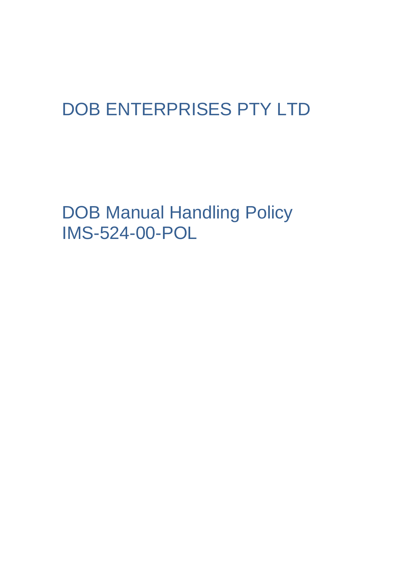# DOB ENTERPRISES PTY LTD

DOB Manual Handling Policy IMS-524-00-POL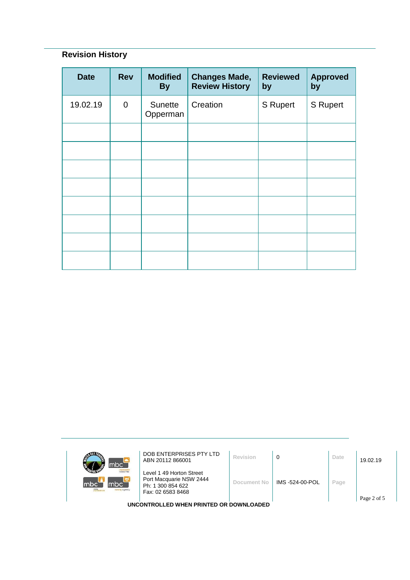## **Revision History**

| <b>Date</b> | <b>Rev</b>     | <b>Modified</b><br><b>By</b> | <b>Changes Made,</b><br><b>Review History</b> | <b>Reviewed</b><br>by | <b>Approved</b><br>by |
|-------------|----------------|------------------------------|-----------------------------------------------|-----------------------|-----------------------|
| 19.02.19    | $\overline{0}$ | Sunette<br>Opperman          | Creation                                      | <b>S</b> Rupert       | <b>S</b> Rupert       |
|             |                |                              |                                               |                       |                       |
|             |                |                              |                                               |                       |                       |
|             |                |                              |                                               |                       |                       |
|             |                |                              |                                               |                       |                       |
|             |                |                              |                                               |                       |                       |
|             |                |                              |                                               |                       |                       |
|             |                |                              |                                               |                       |                       |
|             |                |                              |                                               |                       |                       |

| mbc <sup>-</sup>                                                           | DOB ENTERPRISES PTY LTD<br>ABN 20112 866001                                                   | Revision    | 0               | Date | 19.02.19    |
|----------------------------------------------------------------------------|-----------------------------------------------------------------------------------------------|-------------|-----------------|------|-------------|
| <b>Inhour hire</b><br>mbc`<br>mbc<br>m <sub>center</sub><br>nursing agency | Level 1 49 Horton Street<br>Port Macquarie NSW 2444<br>Ph: 1 300 854 622<br>Fax: 02 6583 8468 | Document No | IMS -524-00-POL | Page |             |
|                                                                            |                                                                                               |             |                 |      | Page 2 of 5 |
| UNCONTROLLED WHEN PRINTED OR DOWNLOADED                                    |                                                                                               |             |                 |      |             |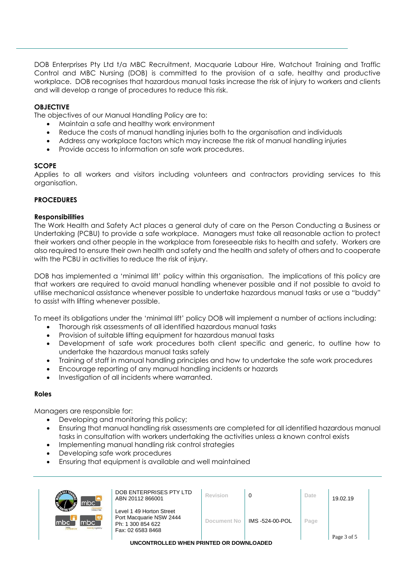DOB Enterprises Pty Ltd t/a MBC Recruitment, Macquarie Labour Hire, Watchout Training and Traffic Control and MBC Nursing (DOB) is committed to the provision of a safe, healthy and productive workplace. DOB recognises that hazardous manual tasks increase the risk of injury to workers and clients and will develop a range of procedures to reduce this risk.

### **OBJECTIVE**

The objectives of our Manual Handling Policy are to:

- Maintain a safe and healthy work environment
- Reduce the costs of manual handling injuries both to the organisation and individuals
- Address any workplace factors which may increase the risk of manual handling injuries
- Provide access to information on safe work procedures.

#### **SCOPE**

Applies to all workers and visitors including volunteers and contractors providing services to this organisation.

#### **PROCEDURES**

#### **Responsibilities**

The Work Health and Safety Act places a general duty of care on the Person Conducting a Business or Undertaking (PCBU) to provide a safe workplace. Managers must take all reasonable action to protect their workers and other people in the workplace from foreseeable risks to health and safety. Workers are also required to ensure their own health and safety and the health and safety of others and to cooperate with the PCBU in activities to reduce the risk of injury.

DOB has implemented a 'minimal lift' policy within this organisation. The implications of this policy are that workers are required to avoid manual handling whenever possible and if not possible to avoid to utilise mechanical assistance whenever possible to undertake hazardous manual tasks or use a "buddy" to assist with lifting whenever possible.

To meet its obligations under the 'minimal lift' policy DOB will implement a number of actions including:

- Thorough risk assessments of all identified hazardous manual tasks
- Provision of suitable lifting equipment for hazardous manual tasks
- Development of safe work procedures both client specific and generic, to outline how to undertake the hazardous manual tasks safely
- Training of staff in manual handling principles and how to undertake the safe work procedures
- Encourage reporting of any manual handling incidents or hazards
- Investigation of all incidents where warranted.

#### **Roles**

Managers are responsible for:

- Developing and monitoring this policy;
- Ensuring that manual handling risk assessments are completed for all identified hazardous manual tasks in consultation with workers undertaking the activities unless a known control exists
- Implementing manual handling risk control strategies
- Developing safe work procedures
- Ensuring that equipment is available and well maintained

| mbc <sup>'</sup>                                  | DOB ENTERPRISES PTY LTD<br>ABN 20112 866001                                                   | Revision    |                 | Date | 19.02.19    |  |
|---------------------------------------------------|-----------------------------------------------------------------------------------------------|-------------|-----------------|------|-------------|--|
| <b>Indequant</b><br>mbc<br>mbc`<br>sursing agency | Level 1 49 Horton Street<br>Port Macquarie NSW 2444<br>Ph: 1 300 854 622<br>Fax: 02 6583 8468 | Document No | IMS -524-00-POL | Page | Page 3 of 5 |  |

**UNCONTROLLED WHEN PRINTED OR DOWNLOADED**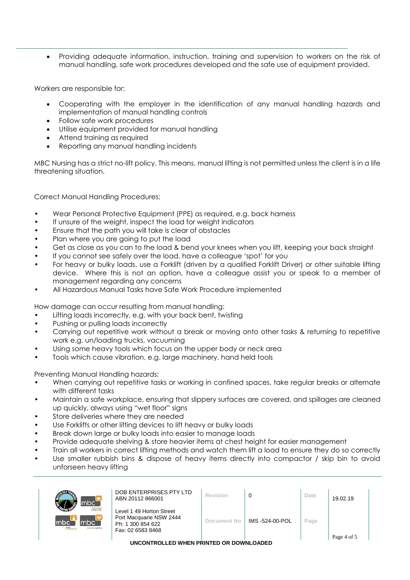• Providing adequate information, instruction, training and supervision to workers on the risk of manual handling, safe work procedures developed and the safe use of equipment provided.

Workers are responsible for:

- Cooperating with the employer in the identification of any manual handling hazards and implementation of manual handling controls
- Follow safe work procedures
- Utilise equipment provided for manual handling
- Attend training as required
- Reporting any manual handling incidents

MBC Nursing has a strict no-lift policy. This means, manual lifting is not permitted unless the client is in a life threatening situation.

Correct Manual Handling Procedures:

- Wear Personal Protective Equipment (PPE) as required, e.g. back harness
- If unsure of the weight, inspect the load for weight indicators
- Ensure that the path you will take is clear of obstacles
- Plan where you are going to put the load
- Get as close as you can to the load & bend your knees when you lift, keeping your back straight
- If you cannot see safely over the load, have a colleague 'spot' for you
- For heavy or bulky loads, use a Forklift (driven by a qualified Forklift Driver) or other suitable lifting device. Where this is not an option, have a colleague assist you or speak to a member of management regarding any concerns
- All Hazardous Manual Tasks have Safe Work Procedure implemented

How damage can occur resulting from manual handling:

- Lifting loads incorrectly, e.g. with your back bent, twisting
- Pushing or pulling loads incorrectly
- Carrying out repetitive work without a break or moving onto other tasks & returning to repetitive work e.g. un/loading trucks, vacuuming
- Using some heavy tools which focus on the upper body or neck area
- Tools which cause vibration, e.g. large machinery, hand held tools

Preventing Manual Handling hazards:

- When carrying out repetitive tasks or working in confined spaces, take regular breaks or alternate with different tasks
- Maintain a safe workplace, ensuring that slippery surfaces are covered, and spillages are cleaned up quickly, always using "wet floor" signs
- Store deliveries where they are needed
- Use Forklifts or other lifting devices to lift heavy or bulky loads
- Break down large or bulky loads into easier to manage loads
- Provide adequate shelving & store heavier items at chest height for easier management
- Train all workers in correct lifting methods and watch them lift a load to ensure they do so correctly
- Use smaller rubbish bins & dispose of heavy items directly into compactor / skip bin to avoid unforseen heavy lifting

| <b>RADULP</b><br>mbc`                                         | DOB ENTERPRISES PTY LTD<br>ABN 20112 866001                                                   | Revision    | 0              | Date | 19.02.19    |  |
|---------------------------------------------------------------|-----------------------------------------------------------------------------------------------|-------------|----------------|------|-------------|--|
| mocquarie<br>mbc<br>mbci<br>m <sub>te</sub><br>sursing agency | Level 1 49 Horton Street<br>Port Macquarie NSW 2444<br>Ph: 1 300 854 622<br>Fax: 02 6583 8468 | Document No | IMS-524-00-POL | Page | Page 4 of 5 |  |

**UNCONTROLLED WHEN PRINTED OR DOWNLOADED**